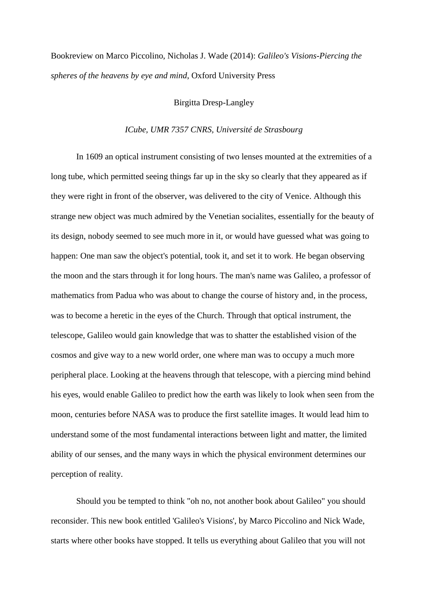Bookreview on Marco Piccolino, Nicholas J. Wade (2014): *Galileo's Visions-Piercing the spheres of the heavens by eye and mind*, Oxford University Press

## Birgitta Dresp-Langley

## *ICube, UMR 7357 CNRS, Université de Strasbourg*

In 1609 an optical instrument consisting of two lenses mounted at the extremities of a long tube, which permitted seeing things far up in the sky so clearly that they appeared as if they were right in front of the observer, was delivered to the city of Venice. Although this strange new object was much admired by the Venetian socialites, essentially for the beauty of its design, nobody seemed to see much more in it, or would have guessed what was going to happen: One man saw the object's potential, took it, and set it to work. He began observing the moon and the stars through it for long hours. The man's name was Galileo, a professor of mathematics from Padua who was about to change the course of history and, in the process, was to become a heretic in the eyes of the Church. Through that optical instrument, the telescope, Galileo would gain knowledge that was to shatter the established vision of the cosmos and give way to a new world order, one where man was to occupy a much more peripheral place. Looking at the heavens through that telescope, with a piercing mind behind his eyes, would enable Galileo to predict how the earth was likely to look when seen from the moon, centuries before NASA was to produce the first satellite images. It would lead him to understand some of the most fundamental interactions between light and matter, the limited ability of our senses, and the many ways in which the physical environment determines our perception of reality.

Should you be tempted to think "oh no, not another book about Galileo" you should reconsider. This new book entitled 'Galileo's Visions', by Marco Piccolino and Nick Wade, starts where other books have stopped. It tells us everything about Galileo that you will not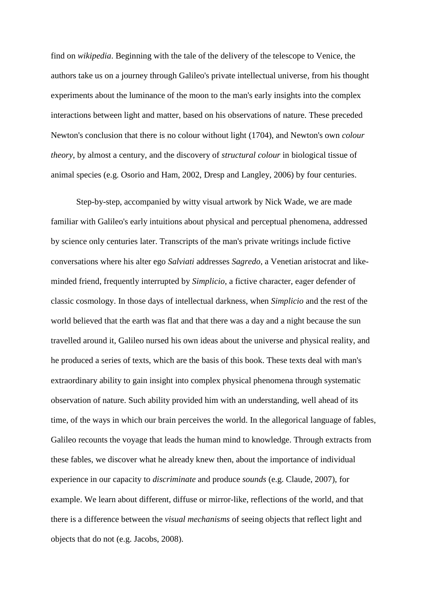find on *wikipedia*. Beginning with the tale of the delivery of the telescope to Venice, the authors take us on a journey through Galileo's private intellectual universe, from his thought experiments about the luminance of the moon to the man's early insights into the complex interactions between light and matter, based on his observations of nature. These preceded Newton's conclusion that there is no colour without light (1704), and Newton's own *colour theory*, by almost a century, and the discovery of *structural colour* in biological tissue of animal species (e.g. Osorio and Ham, 2002, Dresp and Langley, 2006) by four centuries.

Step-by-step, accompanied by witty visual artwork by Nick Wade, we are made familiar with Galileo's early intuitions about physical and perceptual phenomena, addressed by science only centuries later. Transcripts of the man's private writings include fictive conversations where his alter ego *Salviati* addresses *Sagredo*, a Venetian aristocrat and likeminded friend, frequently interrupted by *Simplicio*, a fictive character, eager defender of classic cosmology. In those days of intellectual darkness, when *Simplicio* and the rest of the world believed that the earth was flat and that there was a day and a night because the sun travelled around it, Galileo nursed his own ideas about the universe and physical reality, and he produced a series of texts, which are the basis of this book. These texts deal with man's extraordinary ability to gain insight into complex physical phenomena through systematic observation of nature. Such ability provided him with an understanding, well ahead of its time, of the ways in which our brain perceives the world. In the allegorical language of fables, Galileo recounts the voyage that leads the human mind to knowledge. Through extracts from these fables, we discover what he already knew then, about the importance of individual experience in our capacity to *discriminate* and produce *sounds* (e.g. Claude, 2007), for example. We learn about different, diffuse or mirror-like, reflections of the world, and that there is a difference between the *visual mechanisms* of seeing objects that reflect light and objects that do not (e.g. Jacobs, 2008).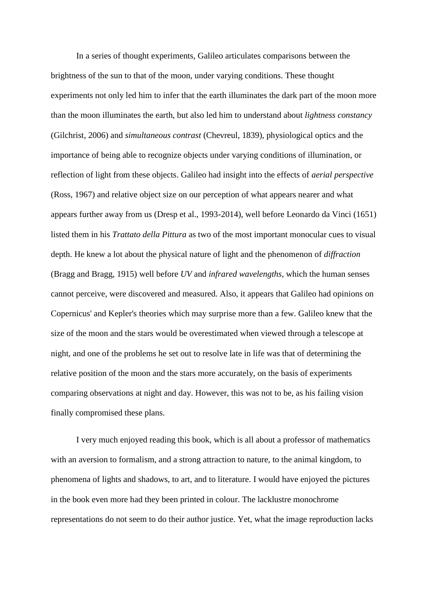In a series of thought experiments, Galileo articulates comparisons between the brightness of the sun to that of the moon, under varying conditions. These thought experiments not only led him to infer that the earth illuminates the dark part of the moon more than the moon illuminates the earth, but also led him to understand about *lightness constancy* (Gilchrist, 2006) and *simultaneous contrast* (Chevreul, 1839), physiological optics and the importance of being able to recognize objects under varying conditions of illumination, or reflection of light from these objects. Galileo had insight into the effects of *aerial perspective* (Ross, 1967) and relative object size on our perception of what appears nearer and what appears further away from us (Dresp et al., 1993-2014), well before Leonardo da Vinci (1651) listed them in his *Trattato della Pittura* as two of the most important monocular cues to visual depth. He knew a lot about the physical nature of light and the phenomenon of *diffraction* (Bragg and Bragg, 1915) well before *UV* and *infrared wavelengths*, which the human senses cannot perceive, were discovered and measured. Also, it appears that Galileo had opinions on Copernicus' and Kepler's theories which may surprise more than a few. Galileo knew that the size of the moon and the stars would be overestimated when viewed through a telescope at night, and one of the problems he set out to resolve late in life was that of determining the relative position of the moon and the stars more accurately, on the basis of experiments comparing observations at night and day. However, this was not to be, as his failing vision finally compromised these plans.

I very much enjoyed reading this book, which is all about a professor of mathematics with an aversion to formalism, and a strong attraction to nature, to the animal kingdom, to phenomena of lights and shadows, to art, and to literature. I would have enjoyed the pictures in the book even more had they been printed in colour. The lacklustre monochrome representations do not seem to do their author justice. Yet, what the image reproduction lacks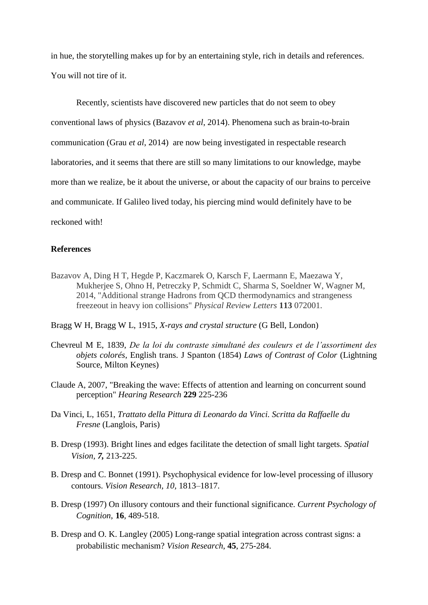in hue, the storytelling makes up for by an entertaining style, rich in details and references. You will not tire of it.

Recently, scientists have discovered new particles that do not seem to obey conventional laws of physics (Bazavov *et al*, 2014). Phenomena such as brain-to-brain communication (Grau *et al*, 2014) are now being investigated in respectable research laboratories, and it seems that there are still so many limitations to our knowledge, maybe more than we realize, be it about the universe, or about the capacity of our brains to perceive and communicate. If Galileo lived today, his piercing mind would definitely have to be reckoned with!

## **References**

- Bazavov A, Ding H T, Hegde P, Kaczmarek O, Karsch F, Laermann E, Maezawa Y, Mukherjee S, Ohno H, Petreczky P, Schmidt C, Sharma S, Soeldner W, Wagner M, 2014, "Additional strange Hadrons from QCD thermodynamics and strangeness freezeout in heavy ion collisions" *Physical Review Letters* **113** 072001.
- Bragg W H, Bragg W L, 1915, *X-rays and crystal structure* (G Bell, London)
- Chevreul M E, 1839, *De la loi du contraste simultané des couleurs et de l'assortiment des objets colorés*, English trans. J Spanton (1854) *Laws of Contrast of Color* (Lightning Source, Milton Keynes)
- Claude A, 2007, "Breaking the wave: Effects of attention and learning on concurrent sound perception" *Hearing Research* **229** 225-236
- Da Vinci, L, 1651, *Trattato della Pittura di Leonardo da Vinci. Scritta da Raffaelle du Fresne* (Langlois, Paris)
- B. Dresp (1993). Bright lines and edges facilitate the detection of small light targets. *Spatial Vision, 7,* 213-225.
- B. Dresp and C. Bonnet (1991). Psychophysical evidence for low-level processing of illusory contours. *Vision Research, 10,* 1813–1817.
- B. Dresp (1997) On illusory contours and their functional significance. *Current Psychology of Cognition*, **16**, 489-518.
- B. Dresp and O. K. Langley (2005) Long-range spatial integration across contrast signs: a probabilistic mechanism? *Vision Research*, **45**, 275-284.